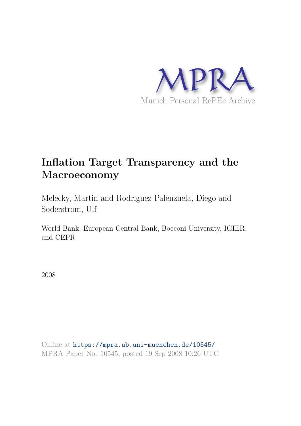

# **Inflation Target Transparency and the Macroeconomy**

Melecky, Martin and Rodrıguez Palenzuela, Diego and Soderstrom, Ulf

World Bank, European Central Bank, Bocconi University, IGIER, and CEPR

2008

Online at https://mpra.ub.uni-muenchen.de/10545/ MPRA Paper No. 10545, posted 19 Sep 2008 10:26 UTC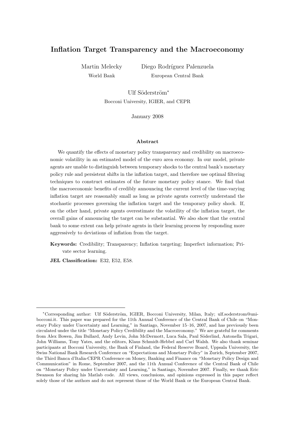# Inflation Target Transparency and the Macroeconomy

Martin Melecky World Bank

Diego Rodríguez Palenzuela European Central Bank

Ulf Söderström<sup>∗</sup> Bocconi University, IGIER, and CEPR

January 2008

#### Abstract

We quantify the effects of monetary policy transparency and credibility on macroeconomic volatility in an estimated model of the euro area economy. In our model, private agents are unable to distinguish between temporary shocks to the central bank's monetary policy rule and persistent shifts in the inflation target, and therefore use optimal filtering techniques to construct estimates of the future monetary policy stance. We find that the macroeconomic benefits of credibly announcing the current level of the time-varying inflation target are reasonably small as long as private agents correctly understand the stochastic processes governing the inflation target and the temporary policy shock. If, on the other hand, private agents overestimate the volatility of the inflation target, the overall gains of announcing the target can be substantial. We also show that the central bank to some extent can help private agents in their learning process by responding more aggressively to deviations of inflation from the target.

Keywords: Credibility; Transparency; Inflation targeting; Imperfect information; Private sector learning.

JEL Classification: E32, E52, E58.

<sup>\*</sup>Corresponding author: Ulf Söderström, IGIER, Bocconi University, Milan, Italy; ulf.soderstrom@unibocconi.it. This paper was prepared for the 11th Annual Conference of the Central Bank of Chile on "Monetary Policy under Uncertainty and Learning," in Santiago, November 15–16, 2007, and has previously been circulated under the title "Monetary Policy Credibility and the Macroeconomy." We are grateful for comments from Alex Bowen, Jim Bullard, Andy Levin, John McDermott, Luca Sala, Paul Söderlind, Antonella Trigari, John Williams, Tony Yates, and the editors, Klaus Schmidt-Hebbel and Carl Walsh. We also thank seminar participants at Bocconi University, the Bank of Finland, the Federal Reserve Board, Uppsala University, the Swiss National Bank Research Conference on "Expectations and Monetary Policy" in Zurich, September 2007, the Third Banca d'Italia-CEPR Conference on Money, Banking and Finance on "Monetary Policy Design and Communication" in Rome, September 2007, and the 11th Annual Conference of the Central Bank of Chile on "Monetary Policy under Uncertainty and Learning," in Santiago, November 2007. Finally, we thank Eric Swanson for sharing his Matlab code. All views, conclusions, and opinions expressed in this paper reflect solely those of the authors and do not represent those of the World Bank or the European Central Bank.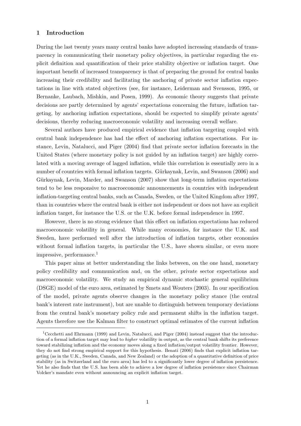### 1 Introduction

During the last twenty years many central banks have adopted increasing standards of transparency in communicating their monetary policy objectives, in particular regarding the explicit definition and quantification of their price stability objective or inflation target. One important benefit of increased transparency is that of preparing the ground for central banks increasing their credibility and facilitating the anchoring of private sector inflation expectations in line with stated objectives (see, for instance, Leiderman and Svensson, 1995, or Bernanke, Laubach, Mishkin, and Posen, 1999). As economic theory suggests that private decisions are partly determined by agents' expectations concerning the future, inflation targeting, by anchoring inflation expectations, should be expected to simplify private agents' decisions, thereby reducing macroeconomic volatility and increasing overall welfare.

Several authors have produced empirical evidence that inflation targeting coupled with central bank independence has had the effect of anchoring inflation expectations. For instance, Levin, Natalucci, and Piger (2004) find that private sector inflation forecasts in the United States (where monetary policy is not guided by an inflation target) are highly correlated with a moving average of lagged inflation, while this correlation is essentially zero in a number of countries with formal inflation targets. Gürkaynak, Levin, and Swanson (2006) and Gürkaynak, Levin, Marder, and Swanson (2007) show that long-term inflation expectations tend to be less responsive to macroeconomic announcements in countries with independent inflation-targeting central banks, such as Canada, Sweden, or the United Kingdom after 1997, than in countries where the central bank is either not independent or does not have an explicit inflation target, for instance the U.S. or the U.K. before formal independence in 1997.

However, there is no strong evidence that this effect on inflation expectations has reduced macroeconomic volatility in general. While many economies, for instance the U.K. and Sweden, have performed well after the introduction of inflation targets, other economies without formal inflation targets, in particular the U.S., have shown similar, or even more impressive, performance.<sup>1</sup>

This paper aims at better understanding the links between, on the one hand, monetary policy credibility and communication and, on the other, private sector expectations and macroeconomic volatility. We study an empirical dynamic stochastic general equilibrium (DSGE) model of the euro area, estimated by Smets and Wouters (2003). In our specification of the model, private agents observe changes in the monetary policy stance (the central bank's interest rate instrument), but are unable to distinguish between temporary deviations from the central bank's monetary policy rule and permanent shifts in the inflation target. Agents therefore use the Kalman filter to construct optimal estimates of the current inflation

<sup>&</sup>lt;sup>1</sup>Cecchetti and Ehrmann (1999) and Levin, Natalucci, and Piger (2004) instead suggest that the introduction of a formal inflation target may lead to higher volatility in output, as the central bank shifts its preference toward stabilizing inflation and the economy moves along a fixed inflation/output volatility frontier. However, they do not find strong empirical support for this hypothesis. Benati (2006) finds that explicit inflation targeting (as in the U.K., Sweden, Canada, and New Zealand) or the adoption of a quantitative definition of price stability (as in Switzerland and the euro area) has led to a significantly lower degree of inflation persistence. Yet he also finds that the U.S. has been able to achieve a low degree of inflation persistence since Chairman Volcker's mandate even without announcing an explicit inflation target.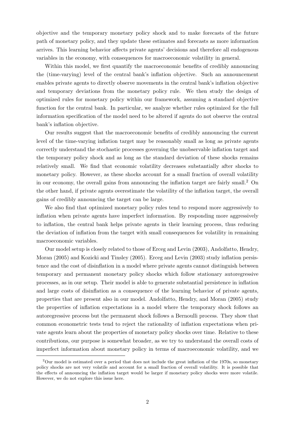objective and the temporary monetary policy shock and to make forecasts of the future path of monetary policy, and they update these estimates and forecasts as more information arrives. This learning behavior affects private agents' decisions and therefore all endogenous variables in the economy, with consequences for macroeconomic volatility in general.

Within this model, we first quantify the macroeconomic benefits of credibly announcing the (time-varying) level of the central bank's inflation objective. Such an announcement enables private agents to directly observe movements in the central bank's inflation objective and temporary deviations from the monetary policy rule. We then study the design of optimized rules for monetary policy within our framework, assuming a standard objective function for the central bank. In particular, we analyze whether rules optimized for the full information specification of the model need to be altered if agents do not observe the central bank's inflation objective.

Our results suggest that the macroeconomic benefits of credibly announcing the current level of the time-varying inflation target may be reasonably small as long as private agents correctly understand the stochastic processes governing the unobservable inflation target and the temporary policy shock and as long as the standard deviation of these shocks remains relatively small. We find that economic volatility decreases substantially after shocks to monetary policy. However, as these shocks account for a small fraction of overall volatility in our economy, the overall gains from announcing the inflation target are fairly small.<sup>2</sup> On the other hand, if private agents overestimate the volatility of the inflation target, the overall gains of credibly announcing the target can be large.

We also find that optimized monetary policy rules tend to respond more aggressively to inflation when private agents have imperfect information. By responding more aggressively to inflation, the central bank helps private agents in their learning process, thus reducing the deviation of inflation from the target with small consequences for volatility in remaining macroeconomic variables.

Our model setup is closely related to those of Erceg and Levin (2003), Andolfatto, Hendry, Moran (2005) and Kozicki and Tinsley (2005). Erceg and Levin (2003) study inflation persistence and the cost of disinflation in a model where private agents cannot distinguish between temporary and permanent monetary policy shocks which follow stationary autoregressive processes, as in our setup. Their model is able to generate substantial persistence in inflation and large costs of disinflation as a consequence of the learning behavior of private agents, properties that are present also in our model. Andolfatto, Hendry, and Moran (2005) study the properties of inflation expectations in a model where the temporary shock follows an autoregressive process but the permanent shock follows a Bernoulli process. They show that common econometric tests tend to reject the rationality of inflation expectations when private agents learn about the properties of monetary policy shocks over time. Relative to these contributions, our purpose is somewhat broader, as we try to understand the overall costs of imperfect information about monetary policy in terms of macroeconomic volatility, and we

<sup>&</sup>lt;sup>2</sup>Our model is estimated over a period that does not include the great inflation of the 1970s, so monetary policy shocks are not very volatile and account for a small fraction of overall volatility. It is possible that the effects of announcing the inflation target would be larger if monetary policy shocks were more volatile. However, we do not explore this issue here.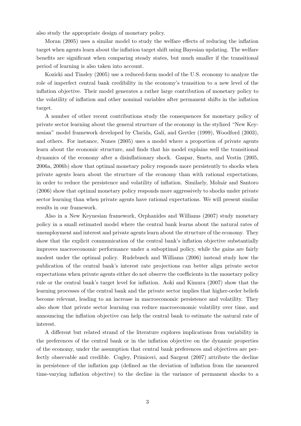also study the appropriate design of monetary policy.

Moran (2005) uses a similar model to study the welfare effects of reducing the inflation target when agents learn about the inflation target shift using Bayesian updating. The welfare benefits are significant when comparing steady states, but much smaller if the transitional period of learning is also taken into account.

Kozicki and Tinsley (2005) use a reduced-form model of the U.S. economy to analyze the role of imperfect central bank credibility in the economy's transition to a new level of the inflation objective. Their model generates a rather large contribution of monetary policy to the volatility of inflation and other nominal variables after permanent shifts in the inflation target.

A number of other recent contributions study the consequences for monetary policy of private sector learning about the general structure of the economy in the stylized "New Keynesian" model framework developed by Clarida, Galí, and Gertler (1999), Woodford (2003), and others. For instance, Nunes (2005) uses a model where a proportion of private agents learn about the economic structure, and finds that his model explains well the transitional dynamics of the economy after a disinflationary shock. Gaspar, Smets, and Vestin (2005, 2006a, 2006b) show that optimal monetary policy responds more persistently to shocks when private agents learn about the structure of the economy than with rational expectations, in order to reduce the persistence and volatility of inflation. Similarly, Molnár and Santoro (2006) show that optimal monetary policy responds more aggressively to shocks under private sector learning than when private agents have rational expectations. We will present similar results in our framework.

Also in a New Keynesian framework, Orphanides and Williams (2007) study monetary policy in a small estimated model where the central bank learns about the natural rates of unemployment and interest and private agents learn about the structure of the economy. They show that the explicit communication of the central bank's inflation objective substantially improves macroeconomic performance under a suboptimal policy, while the gains are fairly modest under the optimal policy. Rudebusch and Williams (2006) instead study how the publication of the central bank's interest rate projections can better align private sector expectations when private agents either do not observe the coefficients in the monetary policy rule or the central bank's target level for inflation. Aoki and Kimura (2007) show that the learning processes of the central bank and the private sector implies that higher-order beliefs become relevant, leading to an increase in macroeconomic persistence and volatility. They also show that private sector learning can reduce macroeconomic volatility over time, and announcing the inflation objective can help the central bank to estimate the natural rate of interest.

A different but related strand of the literature explores implications from variability in the preferences of the central bank or in the inflation objective on the dynamic properties of the economy, under the assumption that central bank preferences and objectives are perfectly observable and credible. Cogley, Primiceri, and Sargent (2007) attribute the decline in persistence of the inflation gap (defined as the deviation of inflation from the measured time-varying inflation objective) to the decline in the variance of permanent shocks to a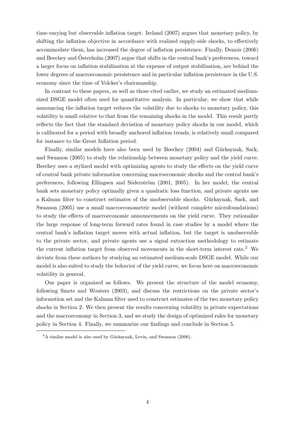time-varying but observable inflation target. Ireland (2007) argues that monetary policy, by shifting the inflation objective in accordance with realized supply-side shocks, to effectively accommodate them, has increased the degree of inflation persistence. Finally, Dennis (2006) and Beechey and Österholm  $(2007)$  argue that shifts in the central bank's preferences, toward a larger focus on inflation stabilization at the expense of output stabilization, are behind the lower degrees of macroeconomic persistence and in particular inflation persistence in the U.S. economy since the time of Volcker's chairmanship.

In contrast to these papers, as well as those cited earlier, we study an estimated mediumsized DSGE model often used for quantitative analysis. In particular, we show that while announcing the inflation target reduces the volatility due to shocks to monetary policy, this volatility is small relative to that from the remaining shocks in the model. This result partly reflects the fact that the standard deviation of monetary policy shocks in our model, which is calibrated for a period with broadly anchored inflation trends, is relatively small compared for instance to the Great Inflation period.

Finally, similar models have also been used by Beechey (2004) and Gürkaynak, Sack, and Swanson (2005) to study the relationship between monetary policy and the yield curve. Beechey uses a stylized model with optimizing agents to study the effects on the yield curve of central bank private information concerning macroeconomic shocks and the central bank's preferences, following Ellingsen and Söderström (2001, 2005). In her model, the central bank sets monetary policy optimally given a quadratic loss function, and private agents use a Kalman filter to construct estimates of the unobservable shocks. Gürkaynak, Sack, and Swanson (2005) use a small macroeconometric model (without complete microfoundations) to study the effects of macroeconomic announcements on the yield curve. They rationalize the large response of long-term forward rates found in case studies by a model where the central bank's inflation target moves with actual inflation, but the target is unobservable to the private sector, and private agents use a signal extraction methodology to estimate the current inflation target from observed movements in the short-term interest rate.<sup>3</sup> We deviate from these authors by studying an estimated medium-scale DSGE model. While our model is also suited to study the behavior of the yield curve, we focus here on macroeconomic volatility in general.

Our paper is organized as follows. We present the structure of the model economy, following Smets and Wouters (2003), and discuss the restrictions on the private sector's information set and the Kalman filter used to construct estimates of the two monetary policy shocks in Section 2. We then present the results concerning volatility in private expectations and the macroeconomy in Section 3, and we study the design of optimized rules for monetary policy in Section 4. Finally, we summarize our findings and conclude in Section 5.

 $3A$  similar model is also used by Gürkaynak, Levin, and Swanson (2006).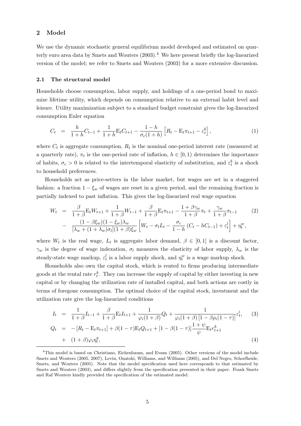# 2 Model

We use the dynamic stochastic general equilibrium model developed and estimated on quarterly euro area data by Smets and Wouters  $(2003).<sup>4</sup>$  We here present briefly the log-linearized version of the model; we refer to Smets and Wouters (2003) for a more extensive discussion.

#### 2.1 The structural model

Households choose consumption, labor supply, and holdings of a one-period bond to maximize lifetime utility, which depends on consumption relative to an external habit level and leisure. Utility maximization subject to a standard budget constraint gives the log-linearized consumption Euler equation

$$
C_t = \frac{h}{1+h}C_{t-1} + \frac{1}{1+h}E_tC_{t+1} - \frac{1-h}{\sigma_c(1+h)}\left[R_t - E_t\pi_{t+1} - \varepsilon_t^b\right],
$$
\n(1)

where  $C_t$  is aggregate consumption,  $R_t$  is the nominal one-period interest rate (measured at a quarterly rate),  $\pi_t$  is the one-period rate of inflation,  $h \in [0, 1)$  determines the importance of habits,  $\sigma_c > 0$  is related to the intertemporal elasticity of substitution, and  $\varepsilon_t^b$  is a shock to household preferences.

Households act as price-setters in the labor market, but wages are set in a staggered fashion: a fraction  $1 - \xi_w$  of wages are reset in a given period, and the remaining fraction is partially indexed to past inflation. This gives the log-linearized real wage equation

$$
W_t = \frac{\beta}{1+\beta} \mathbf{E}_t W_{t+1} + \frac{1}{1+\beta} W_{t-1} + \frac{\beta}{1+\beta} \mathbf{E}_t \pi_{t+1} - \frac{1+\beta \gamma_w}{1+\beta} \pi_t + \frac{\gamma_w}{1+\beta} \pi_{t-1}
$$
(2)  

$$
- \frac{(1-\beta \xi_w)(1-\xi_w)\lambda_w}{[\lambda_w + (1+\lambda_w)\sigma_l](1+\beta)\xi_w} \left[W_t - \sigma_l L_t - \frac{\sigma_c}{1-h} (C_t - hC_{t-1}) + \varepsilon_t^l\right] + \eta_t^w,
$$

where  $W_t$  is the real wage,  $L_t$  is aggregate labor demand,  $\beta \in [0,1]$  is a discount factor,  $\gamma_w$  is the degree of wage indexation,  $\sigma_l$  measures the elasticity of labor supply,  $\lambda_w$  is the steady-state wage markup,  $\varepsilon_t^l$  is a labor supply shock, and  $\eta_t^w$  is a wage markup shock.

Households also own the capital stock, which is rented to firms producing intermediate goods at the rental rate  $r_t^k$ . They can increase the supply of capital by either investing in new capital or by changing the utilization rate of installed capital, and both actions are costly in terms of foregone consumption. The optimal choice of the capital stock, investment and the utilization rate give the log-linearized conditions

$$
I_t = \frac{1}{1+\beta}I_{t-1} + \frac{\beta}{1+\beta}E_tI_{t+1} + \frac{1}{\varphi_i(1+\beta)}Q_t + \frac{1}{\varphi_i(1+\beta)[1-\beta\rho_i(1-\tau)]}\varepsilon_t^i, \quad (3)
$$

$$
Q_t = -[R_t - \mathbf{E}_t \pi_{t+1}] + \beta (1 - \tau) \mathbf{E}_t Q_{t+1} + [1 - \beta (1 - \tau)] \frac{1 + \psi}{\psi} \mathbf{E}_t r_{t+1}^k + (1 + \beta) \varphi_i \eta_t^q, \tag{4}
$$

<sup>4</sup>This model is based on Christiano, Eichenbaum, and Evans (2005). Other versions of the model include Smets and Wouters (2005, 2007), Levin, Onatski, Williams, and Williams (2005), and Del Negro, Schorfheide, Smets, and Wouters (2005). Note that the model specification used here corresponds to that estimated by Smets and Wouters (2003), and differs slightly from the specification presented in their paper. Frank Smets and Raf Wouters kindly provided the specification of the estimated model.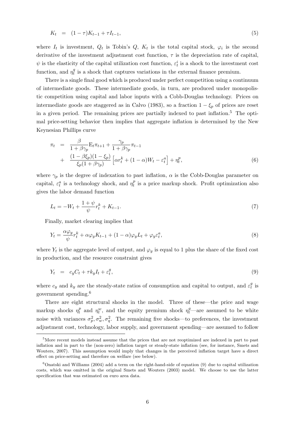$$
K_t = (1 - \tau)K_{t-1} + \tau I_{t-1}, \tag{5}
$$

where  $I_t$  is investment,  $Q_t$  is Tobin's  $Q$ ,  $K_t$  is the total capital stock,  $\varphi_i$  is the second derivative of the investment adjustment cost function,  $\tau$  is the depreciation rate of capital,  $\psi$  is the elasticity of the capital utilization cost function,  $\varepsilon_t^i$  is a shock to the investment cost function, and  $\eta_t^q$  $t_i^q$  is a shock that captures variations in the external finance premium.

There is a single final good which is produced under perfect competition using a continuum of intermediate goods. These intermediate goods, in turn, are produced under monopolistic competition using capital and labor inputs with a Cobb-Douglas technology. Prices on intermediate goods are staggered as in Calvo (1983), so a fraction  $1 - \xi_p$  of prices are reset in a given period. The remaining prices are partially indexed to past inflation.<sup>5</sup> The optimal price-setting behavior then implies that aggregate inflation is determined by the New Keynesian Phillips curve

$$
\pi_t = \frac{\beta}{1 + \beta \gamma_p} \mathbf{E}_t \pi_{t+1} + \frac{\gamma_p}{1 + \beta \gamma_p} \pi_{t-1}
$$
  
+ 
$$
\frac{(1 - \beta \xi_p)(1 - \xi_p)}{\xi_p (1 + \beta \gamma_p)} \left[ \alpha r_t^k + (1 - \alpha) W_t - \varepsilon_t^a \right] + \eta_t^p,
$$
 (6)

where  $\gamma_p$  is the degree of indexation to past inflation,  $\alpha$  is the Cobb-Douglas parameter on capital,  $\varepsilon_t^a$  is a technology shock, and  $\eta_t^p$  $t<sub>t</sub><sup>p</sup>$  is a price markup shock. Profit optimization also gives the labor demand function

$$
L_t = -W_t + \frac{1+\psi}{\psi}r_t^k + K_{t-1}.\tag{7}
$$

Finally, market clearing implies that

$$
Y_t = \frac{\alpha \varphi_y}{\psi} r_t^k + \alpha \varphi_y K_{t-1} + (1 - \alpha) \varphi_y L_t + \varphi_y \varepsilon_t^a,\tag{8}
$$

where  $Y_t$  is the aggregate level of output, and  $\varphi_y$  is equal to 1 plus the share of the fixed cost in production, and the resource constraint gives

$$
Y_t = c_y C_t + \tau k_y I_t + \varepsilon_t^g,\tag{9}
$$

where  $c_y$  and  $k_y$  are the steady-state ratios of consumption and capital to output, and  $\varepsilon_t^g$  $\frac{g}{t}$  is government spending.<sup>6</sup>

There are eight structural shocks in the model. Three of these—the price and wage markup shocks  $\eta_t^p$  $\eta_t^p$  and  $\eta_t^w$ , and the equity premium shock  $\eta_t^q$ —are assumed to be white noise with variances  $\sigma_p^2$ ,  $\sigma_w^2$ ,  $\sigma_q^2$ . The remaining five shocks—to preferences, the investment adjustment cost, technology, labor supply, and government spending—are assumed to follow

<sup>5</sup>More recent models instead assume that the prices that are not reoptimized are indexed in part to past inflation and in part to the (non-zero) inflation target or steady-state inflation (see, for instance, Smets and Wouters, 2007). This assumption would imply that changes in the perceived inflation target have a direct effect on price-setting and therefore on welfare (see below).

 $6$ Onatski and Williams (2004) add a term on the right-hand-side of equation (9) due to capital utilization costs, which was omitted in the original Smets and Wouters (2003) model. We choose to use the latter specification that was estimated on euro area data.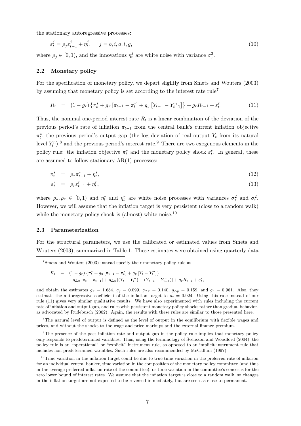the stationary autoregressive processes:

$$
\varepsilon_t^j = \rho_j \varepsilon_{t-1}^j + \eta_t^j, \qquad j = b, i, a, l, g,
$$
\n
$$
(10)
$$

where  $\rho_j \in [0, 1)$ , and the innovations  $\eta_t^j$  $\sigma_t^j$  are white noise with variance  $\sigma_j^2$ .

#### 2.2 Monetary policy

For the specification of monetary policy, we depart slightly from Smets and Wouters (2003) by assuming that monetary policy is set according to the interest rate rule<sup>7</sup>

$$
R_t = (1 - g_r) \left\{ \pi_t^* + g_\pi \left[ \pi_{t-1} - \pi_t^* \right] + g_y \left[ Y_{t-1} - Y_{t-1}^n \right] \right\} + g_r R_{t-1} + \varepsilon_t^r. \tag{11}
$$

Thus, the nominal one-period interest rate  $R_t$  is a linear combination of the deviation of the previous period's rate of inflation  $\pi_{t-1}$  from the central bank's current inflation objective  $\pi_t^*$  $_t^*$ , the previous period's output gap (the log deviation of real output  $Y_t$  from its natural level  $Y_t^n$ ,<sup>8</sup> and the previous period's interest rate.<sup>9</sup> There are two exogenous elements in the policy rule: the inflation objective  $\pi_t^*$  and the monetary policy shock  $\varepsilon_t^r$ . In general, these are assumed to follow stationary  $AR(1)$  processes:

$$
\pi_t^* = \rho_* \pi_{t-1}^* + \eta_t^*, \tag{12}
$$

$$
\varepsilon_t^r = \rho_r \varepsilon_{t-1}^r + \eta_t^r,\tag{13}
$$

where  $\rho_*, \rho_r \in [0,1)$  and  $\eta_t^*$  and  $\eta_t^r$  are white noise processes with variances  $\sigma_*^2$  and  $\sigma_r^2$ . However, we will assume that the inflation target is very persistent (close to a random walk) while the monetary policy shock is (almost) white noise.<sup>10</sup>

#### 2.3 Parameterization

For the structural parameters, we use the calibrated or estimated values from Smets and Wouters (2003), summarized in Table 1. These estimates were obtained using quarterly data

$$
R_t = (1 - g_r) \{ \pi_t^* + g_\pi [\pi_{t-1} - \pi_t^*] + g_y [Y_t - Y_t^n] \}
$$
  
+  $g_{\Delta \pi} [\pi_t - \pi_{t-1}] + g_{\Delta y} [(Y_t - Y_t^n) - (Y_{t-1} - Y_{t-1}^n)] + g_r R_{t-1} + \varepsilon_t^r,$ 

and obtain the estimates  $g_{\pi} = 1.684$ ,  $g_y = 0.099$ ,  $g_{\Delta \pi} = 0.140$ ,  $g_{\Delta y} = 0.159$ , and  $g_r = 0.961$ . Also, they estimate the autoregressive coefficient of the inflation target to  $\rho_* = 0.924$ . Using this rule instead of our rule (11) gives very similar qualitative results. We have also experimented with rules including the current rate of inflation and output gap, and rules with persistent monetary policy shocks rather than gradual behavior, as advocated by Rudebusch (2002). Again, the results with these rules are similar to those presented here.

<sup>8</sup>The natural level of output is defined as the level of output in the equilibrium with flexible wages and prices, and without the shocks to the wage and price markups and the external finance premium.

<sup>9</sup>The presence of the past inflation rate and output gap in the policy rule implies that monetary policy only responds to predetermined variables. Thus, using the terminology of Svensson and Woodford (2004), the policy rule is an "operational" or "explicit" instrument rule, as opposed to an implicit instrument rule that includes non-predetermined variables. Such rules are also recommended by McCallum (1997).

<sup>7</sup>Smets and Wouters (2003) instead specify their monetary policy rule as

 $10$ Time variation in the inflation target could be due to true time-variation in the preferred rate of inflation for an individual central banker, time variation in the composition of the monetary policy committee (and thus in the average preferred inflation rate of the committee), or time variation in the committee's concerns for the zero lower bound of interest rates. We assume that the inflation target is close to a random walk, so changes in the inflation target are not expected to be reversed immediately, but are seen as close to permanent.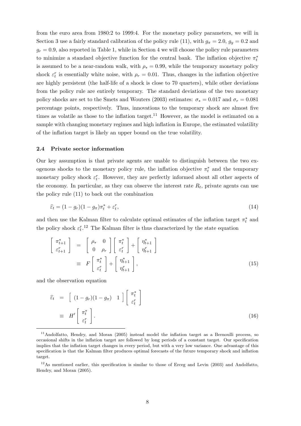from the euro area from 1980:2 to 1999:4. For the monetary policy parameters, we will in Section 3 use a fairly standard calibration of the policy rule (11), with  $g_{\pi} = 2.0$ ,  $g_y = 0.2$  and  $g_r = 0.9$ , also reported in Table 1, while in Section 4 we will choose the policy rule parameters to minimize a standard objective function for the central bank. The inflation objective  $\pi_t^*$ t is assumed to be a near-random walk, with  $\rho_* = 0.99$ , while the temporary monetary policy shock  $\varepsilon_t^r$  is essentially white noise, with  $\rho_r = 0.01$ . Thus, changes in the inflation objective are highly persistent (the half-life of a shock is close to 70 quarters), while other deviations from the policy rule are entirely temporary. The standard deviations of the two monetary policy shocks are set to the Smets and Wouters (2003) estimates:  $\sigma_* = 0.017$  and  $\sigma_r = 0.081$ percentage points, respectively. Thus, innovations to the temporary shock are almost five times as volatile as those to the inflation target.<sup>11</sup> However, as the model is estimated on a sample with changing monetary regimes and high inflation in Europe, the estimated volatility of the inflation target is likely an upper bound on the true volatility.

#### 2.4 Private sector information

Our key assumption is that private agents are unable to distinguish between the two exogenous shocks to the monetary policy rule, the inflation objective  $\pi_t^*$  and the temporary monetary policy shock  $\varepsilon_t^r$ . However, they are perfectly informed about all other aspects of the economy. In particular, as they can observe the interest rate  $R_t$ , private agents can use the policy rule (11) to back out the combination

$$
\hat{\varepsilon}_t = (1 - g_r)(1 - g_\pi)\pi_t^* + \varepsilon_t^r,\tag{14}
$$

and then use the Kalman filter to calculate optimal estimates of the inflation target  $\pi_t^*$  and the policy shock  $\varepsilon_t^r$ <sup>12</sup> The Kalman filter is thus characterized by the state equation

$$
\begin{bmatrix}\n\pi_{t+1}^* \\
\varepsilon_{t+1}^r\n\end{bmatrix} = \begin{bmatrix}\n\rho_* & 0 \\
0 & \rho_r\n\end{bmatrix} \begin{bmatrix}\n\pi_t^* \\
\varepsilon_t^r\n\end{bmatrix} + \begin{bmatrix}\n\eta_{t+1}^* \\
\eta_{t+1}^r\n\end{bmatrix}
$$
\n
$$
\equiv F \begin{bmatrix}\n\pi_t^* \\
\varepsilon_t^r\n\end{bmatrix} + \begin{bmatrix}\n\eta_{t+1}^* \\
\eta_{t+1}^r\n\end{bmatrix},
$$
\n(15)

and the observation equation

$$
\widehat{\varepsilon}_t = \left[ (1 - g_r)(1 - g_\pi) \mathbf{1} \right] \begin{bmatrix} \pi_t^* \\ \varepsilon_t^r \end{bmatrix}
$$
\n
$$
\equiv H' \begin{bmatrix} \pi_t^* \\ \varepsilon_t^r \end{bmatrix} . \tag{16}
$$

<sup>&</sup>lt;sup>11</sup>Andolfatto, Hendry, and Moran (2005) instead model the inflation target as a Bernoulli process, so occasional shifts in the inflation target are followed by long periods of a constant target. Our specification implies that the inflation target changes in every period, but with a very low variance. One advantage of this specification is that the Kalman filter produces optimal forecasts of the future temporary shock and inflation target.

<sup>12</sup>As mentioned earlier, this specification is similar to those of Erceg and Levin (2003) and Andolfatto, Hendry, and Moran (2005).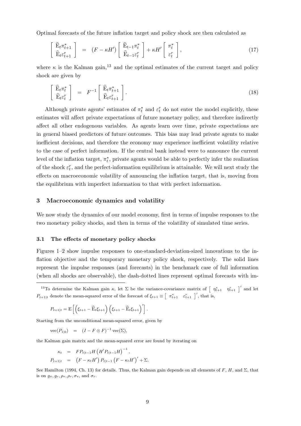Optimal forecasts of the future inflation target and policy shock are then calculated as

$$
\begin{bmatrix}\n\widehat{\mathbf{E}}_t \pi_{t+1}^* \\
\widehat{\mathbf{E}}_t \varepsilon_{t+1}^r\n\end{bmatrix} = (F - \kappa H') \begin{bmatrix}\n\widehat{\mathbf{E}}_{t-1} \pi_t^* \\
\widehat{\mathbf{E}}_{t-1} \varepsilon_t^r\n\end{bmatrix} + \kappa H' \begin{bmatrix}\n\pi_t^* \\
\varepsilon_t^r\n\end{bmatrix},
$$
\n(17)

where  $\kappa$  is the Kalman gain,<sup>13</sup> and the optimal estimates of the current target and policy shock are given by

$$
\begin{bmatrix}\n\widehat{\mathbf{E}}_t \pi_t^* \\
\widehat{\mathbf{E}}_t \varepsilon_t^r\n\end{bmatrix} = F^{-1} \begin{bmatrix}\n\widehat{\mathbf{E}}_t \pi_{t+1}^* \\
\widehat{\mathbf{E}}_t \varepsilon_{t+1}^r\n\end{bmatrix}.
$$
\n(18)

Although private agents' estimates of  $\pi_t^*$  and  $\varepsilon_t^r$  do not enter the model explicitly, these estimates will affect private expectations of future monetary policy, and therefore indirectly affect all other endogenous variables. As agents learn over time, private expectations are in general biased predictors of future outcomes. This bias may lead private agents to make inefficient decisions, and therefore the economy may experience inefficient volatility relative to the case of perfect information. If the central bank instead were to announce the current level of the inflation target,  $\pi_t^*$  $_{t}^{*}$ , private agents would be able to perfectly infer the realization of the shock  $\varepsilon_t^r$ , and the perfect-information equilibrium is attainable. We will next study the effects on macroeconomic volatility of announcing the inflation target, that is, moving from the equilibrium with imperfect information to that with perfect information.

#### 3 Macroeconomic dynamics and volatility

We now study the dynamics of our model economy, first in terms of impulse responses to the two monetary policy shocks, and then in terms of the volatility of simulated time series.

#### 3.1 The effects of monetary policy shocks

Figures 1–2 show impulse responses to one-standard-deviation-sized innovations to the inflation objective and the temporary monetary policy shock, respectively. The solid lines represent the impulse responses (and forecasts) in the benchmark case of full information (when all shocks are observable), the dash-dotted lines represent optimal forecasts with im-

<sup>13</sup>To determine the Kalman gain  $\kappa$ , let  $\Sigma$  be the variance-covariance matrix of  $\left[\begin{array}{cc} \eta_{t+1}^* & \eta_{t+1}^r \end{array}\right]'$  and let  $P_{t+1|t}$  denote the mean-squared error of the forecast of  $\xi_{t+1} \equiv \begin{bmatrix} \pi_{t+1}^* & \varepsilon_{t+1}^r \end{bmatrix}'$ , that is,

$$
P_{t+1|t} = \mathbf{E}\left[\left(\xi_{t+1} - \widehat{\mathbf{E}}_t \xi_{t+1}\right) \left(\xi_{t+1} - \widehat{\mathbf{E}}_t \xi_{t+1}\right)'\right].
$$

Starting from the unconditional mean-squared error, given by

$$
\text{vec}(P_{1|0}) = (I - F \otimes F)^{-1} \text{vec}(\Sigma),
$$

the Kalman gain matrix and the mean-squared error are found by iterating on

$$
\kappa_t = FP_{t|t-1}H(H'P_{t|t-1}H)^{-1},
$$
  

$$
P_{t+1|t} = (F - \kappa_t H') P_{t|t-1} (F - \kappa_t H')' + \Sigma.
$$

See Hamilton (1994, Ch. 13) for details. Thus, the Kalman gain depends on all elements of F, H, and  $\Sigma$ , that is on  $q_{\pi}, q_{r}, \rho_{*}, \rho_{r}, \sigma_{*}$ , and  $\sigma_{r}$ .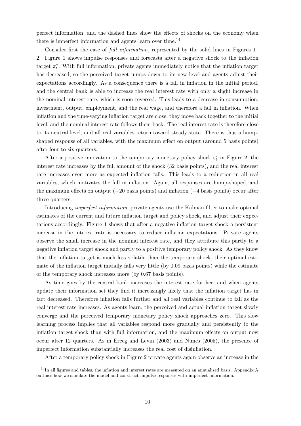perfect information, and the dashed lines show the effects of shocks on the economy when there is imperfect information and agents learn over time.<sup>14</sup>

Consider first the case of *full information*, represented by the solid lines in Figures 1– 2. Figure 1 shows impulse responses and forecasts after a negative shock to the inflation target  $\pi_t^*$  $_{t}^{*}$ . With full information, private agents immediately notice that the inflation target has decreased, so the perceived target jumps down to its new level and agents adjust their expectations accordingly. As a consequence there is a fall in inflation in the initial period, and the central bank is able to increase the real interest rate with only a slight increase in the nominal interest rate, which is soon reversed. This leads to a decrease in consumption, investment, output, employment, and the real wage, and therefore a fall in inflation. When inflation and the time-varying inflation target are close, they move back together to the initial level, and the nominal interest rate follows them back. The real interest rate is therefore close to its neutral level, and all real variables return toward steady state. There is thus a humpshaped response of all variables, with the maximum effect on output (around 5 basis points) after four to six quarters.

After a positive innovation to the temporary monetary policy shock  $\varepsilon_t^r$  in Figure 2, the interest rate increases by the full amount of the shock (32 basis points), and the real interest rate increases even more as expected inflation falls. This leads to a reduction in all real variables, which motivates the fall in inflation. Again, all responses are hump-shaped, and the maximum effects on output (−20 basis points) and inflation (−4 basis points) occur after three quarters.

Introducing *imperfect information*, private agents use the Kalman filter to make optimal estimates of the current and future inflation target and policy shock, and adjust their expectations accordingly. Figure 1 shows that after a negative inflation target shock a persistent increase in the interest rate is necessary to reduce inflation expectations. Private agents observe the small increase in the nominal interest rate, and they attribute this partly to a negative inflation target shock and partly to a positive temporary policy shock. As they know that the inflation target is much less volatile than the temporary shock, their optimal estimate of the inflation target initially falls very little (by 0.09 basis points) while the estimate of the temporary shock increases more (by 0.67 basis points).

As time goes by the central bank increases the interest rate further, and when agents update their information set they find it increasingly likely that the inflation target has in fact decreased. Therefore inflation falls further and all real variables continue to fall as the real interest rate increases. As agents learn, the perceived and actual inflation target slowly converge and the perceived temporary monetary policy shock approaches zero. This slow learning process implies that all variables respond more gradually and persistently to the inflation target shock than with full information, and the maximum effects on output now occur after 12 quarters. As in Erceg and Levin (2003) and Nunes (2005), the presence of imperfect information substantially increases the real cost of disinflation.

After a temporary policy shock in Figure 2 private agents again observe an increase in the

<sup>&</sup>lt;sup>14</sup>In all figures and tables, the inflation and interest rates are measured on an annualized basis. Appendix A outlines how we simulate the model and construct impulse responses with imperfect information.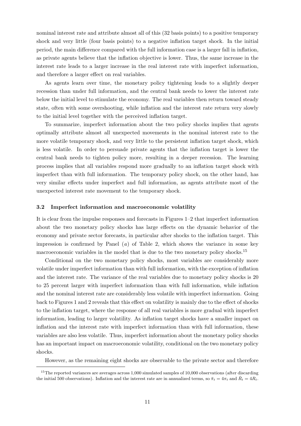nominal interest rate and attribute almost all of this (32 basis points) to a positive temporary shock and very little (four basis points) to a negative inflation target shock. In the initial period, the main difference compared with the full information case is a larger fall in inflation, as private agents believe that the inflation objective is lower. Thus, the same increase in the interest rate leads to a larger increase in the real interest rate with imperfect information, and therefore a larger effect on real variables.

As agents learn over time, the monetary policy tightening leads to a slightly deeper recession than under full information, and the central bank needs to lower the interest rate below the initial level to stimulate the economy. The real variables then return toward steady state, often with some overshooting, while inflation and the interest rate return very slowly to the initial level together with the perceived inflation target.

To summarize, imperfect information about the two policy shocks implies that agents optimally attribute almost all unexpected movements in the nominal interest rate to the more volatile temporary shock, and very little to the persistent inflation target shock, which is less volatile. In order to persuade private agents that the inflation target is lower the central bank needs to tighten policy more, resulting in a deeper recession. The learning process implies that all variables respond more gradually to an inflation target shock with imperfect than with full information. The temporary policy shock, on the other hand, has very similar effects under imperfect and full information, as agents attribute most of the unexpected interest rate movement to the temporary shock.

#### 3.2 Imperfect information and macroeconomic volatility

It is clear from the impulse responses and forecasts in Figures 1–2 that imperfect information about the two monetary policy shocks has large effects on the dynamic behavior of the economy and private sector forecasts, in particular after shocks to the inflation target. This impression is confirmed by Panel (*a*) of Table 2, which shows the variance in some key macroeconomic variables in the model that is due to the two monetary policy shocks.<sup>15</sup>

Conditional on the two monetary policy shocks, most variables are considerably more volatile under imperfect information than with full information, with the exception of inflation and the interest rate. The variance of the real variables due to monetary policy shocks is 20 to 25 percent larger with imperfect information than with full information, while inflation and the nominal interest rate are considerably less volatile with imperfect information. Going back to Figures 1 and 2 reveals that this effect on volatility is mainly due to the effect of shocks to the inflation target, where the response of all real variables is more gradual with imperfect information, leading to larger volatility. As inflation target shocks have a smaller impact on inflation and the interest rate with imperfect information than with full information, these variables are also less volatile. Thus, imperfect information about the monetary policy shocks has an important impact on macroeconomic volatility, conditional on the two monetary policy shocks.

However, as the remaining eight shocks are observable to the private sector and therefore

 $15$ The reported variances are averages across 1,000 simulated samples of 10,000 observations (after discarding the initial 500 observations). Inflation and the interest rate are in annualized terms, so  $\bar{\pi}_t = 4\pi_t$  and  $\bar{R}_t = 4R_t$ .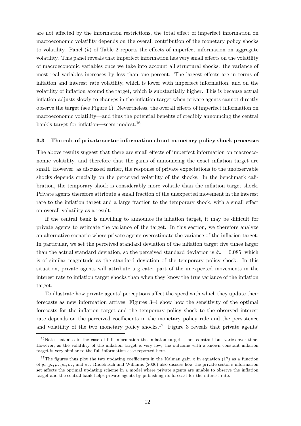are not affected by the information restrictions, the total effect of imperfect information on macroeconomic volatility depends on the overall contribution of the monetary policy shocks to volatility. Panel (*b*) of Table 2 reports the effects of imperfect information on aggregate volatility. This panel reveals that imperfect information has very small effects on the volatility of macroeconomic variables once we take into account all structural shocks: the variance of most real variables increases by less than one percent. The largest effects are in terms of inflation and interest rate volatility, which is lower with imperfect information, and on the volatility of inflation around the target, which is substantially higher. This is because actual inflation adjusts slowly to changes in the inflation target when private agents cannot directly observe the target (see Figure 1). Nevertheless, the overall effects of imperfect information on macroeconomic volatility—and thus the potential benefits of credibly announcing the central bank's target for inflation—seem modest.<sup>16</sup>

### 3.3 The role of private sector information about monetary policy shock processes

The above results suggest that there are small effects of imperfect information on macroeconomic volatility, and therefore that the gains of announcing the exact inflation target are small. However, as discussed earlier, the response of private expectations to the unobservable shocks depends crucially on the perceived volatility of the shocks. In the benchmark calibration, the temporary shock is considerably more volatile than the inflation target shock. Private agents therefore attribute a small fraction of the unexpected movement in the interest rate to the inflation target and a large fraction to the temporary shock, with a small effect on overall volatility as a result.

If the central bank is unwilling to announce its inflation target, it may be difficult for private agents to estimate the variance of the target. In this section, we therefore analyze an alternative scenario where private agents overestimate the variance of the inflation target. In particular, we set the perceived standard deviation of the inflation target five times larger than the actual standard deviation, so the perceived standard deviation is  $\hat{\sigma}_* = 0.085$ , which is of similar magnitude as the standard deviation of the temporary policy shock. In this situation, private agents will attribute a greater part of the unexpected movements in the interest rate to inflation target shocks than when they know the true variance of the inflation target.

To illustrate how private agents' perceptions affect the speed with which they update their forecasts as new information arrives, Figures 3–4 show how the sensitivity of the optimal forecasts for the inflation target and the temporary policy shock to the observed interest rate depends on the perceived coefficients in the monetary policy rule and the persistence and volatility of the two monetary policy shocks.<sup>17</sup> Figure 3 reveals that private agents'

 $16$ Note that also in the case of full information the inflation target is not constant but varies over time. However, as the volatility of the inflation target is very low, the outcome with a known constant inflation target is very similar to the full information case reported here.

<sup>&</sup>lt;sup>17</sup>The figures thus plot the two updating coefficients in the Kalman gain  $\kappa$  in equation (17) as a function of  $q_{\pi}, q_{r}, \rho_{*}, \rho_{*}, \sigma_{*}$ , and  $\sigma_{r}$ . Rudebusch and Williams (2006) also discuss how the private sector's information set affects the optimal updating scheme in a model where private agents are unable to observe the inflation target and the central bank helps private agents by publishing its forecast for the interest rate.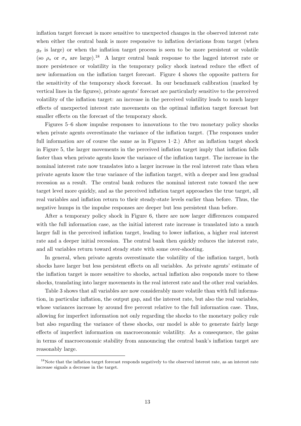inflation target forecast is more sensitive to unexpected changes in the observed interest rate when either the central bank is more responsive to inflation deviations from target (when  $g_{\pi}$  is large) or when the inflation target process is seen to be more persistent or volatile (so  $\rho_*$  or  $\sigma_*$  are large).<sup>18</sup> A larger central bank response to the lagged interest rate or more persistence or volatility in the temporary policy shock instead reduce the effect of new information on the inflation target forecast. Figure 4 shows the opposite pattern for the sensitivity of the temporary shock forecast. In our benchmark calibration (marked by vertical lines in the figures), private agents' forecast are particularly sensitive to the perceived volatility of the inflation target: an increase in the perceived volatility leads to much larger effects of unexpected interest rate movements on the optimal inflation target forecast but smaller effects on the forecast of the temporary shock.

Figures 5–6 show impulse responses to innovations to the two monetary policy shocks when private agents overestimate the variance of the inflation target. (The responses under full information are of course the same as in Figures  $1-2$ .) After an inflation target shock in Figure 5, the larger movements in the perceived inflation target imply that inflation falls faster than when private agents know the variance of the inflation target. The increase in the nominal interest rate now translates into a larger increase in the real interest rate than when private agents know the true variance of the inflation target, with a deeper and less gradual recession as a result. The central bank reduces the nominal interest rate toward the new target level more quickly, and as the perceived inflation target approaches the true target, all real variables and inflation return to their steady-state levels earlier than before. Thus, the negative humps in the impulse responses are deeper but less persistent than before.

After a temporary policy shock in Figure 6, there are now larger differences compared with the full information case, as the initial interest rate increase is translated into a much larger fall in the perceived inflation target, leading to lower inflation, a higher real interest rate and a deeper initial recession. The central bank then quickly reduces the interest rate, and all variables return toward steady state with some over-shooting.

In general, when private agents overestimate the volatility of the inflation target, both shocks have larger but less persistent effects on all variables. As private agents' estimate of the inflation target is more sensitive to shocks, actual inflation also responds more to these shocks, translating into larger movements in the real interest rate and the other real variables.

Table 3 shows that all variables are now considerably more volatile than with full information, in particular inflation, the output gap, and the interest rate, but also the real variables, whose variances increase by around five percent relative to the full information case. Thus, allowing for imperfect information not only regarding the shocks to the monetary policy rule but also regarding the variance of these shocks, our model is able to generate fairly large effects of imperfect information on macroeconomic volatility. As a consequence, the gains in terms of macroeconomic stability from announcing the central bank's inflation target are reasonably large.

<sup>&</sup>lt;sup>18</sup>Note that the inflation target forecast responds negatively to the observed interest rate, as an interest rate increase signals a decrease in the target.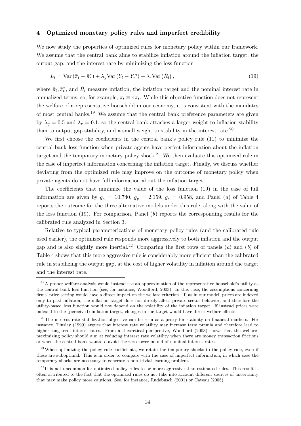# 4 Optimized monetary policy rules and imperfect credibility

We now study the properties of optimized rules for monetary policy within our framework. We assume that the central bank aims to stabilize inflation around the inflation target, the output gap, and the interest rate by minimizing the loss function

$$
L_t = \text{Var}\left(\bar{\pi}_t - \bar{\pi}_t^*\right) + \lambda_y \text{Var}\left(Y_t - Y_t^n\right) + \lambda_r \text{Var}\left(\bar{R}_t\right),\tag{19}
$$

where  $\bar{\pi}_t, \bar{\pi}_t^*$  $_{t}^{*}$ , and  $\bar{R}_{t}$  measure inflation, the inflation target and the nominal interest rate in annualized terms, so, for example,  $\bar{\pi}_t \equiv 4\pi_t$ . While this objective function does not represent the welfare of a representative household in our economy, it is consistent with the mandates of most central banks.<sup>19</sup> We assume that the central bank preference parameters are given by  $\lambda_y = 0.5$  and  $\lambda_r = 0.1$ , so the central bank attaches a larger weight to inflation stability than to output gap stability, and a small weight to stability in the interest rate.<sup>20</sup>

We first choose the coefficients in the central bank's policy rule (11) to minimize the central bank loss function when private agents have perfect information about the inflation target and the temporary monetary policy shock.<sup>21</sup> We then evaluate this optimized rule in the case of imperfect information concerning the inflation target. Finally, we discuss whether deviating from the optimized rule may improve on the outcome of monetary policy when private agents do not have full information about the inflation target.

The coefficients that minimize the value of the loss function (19) in the case of full information are given by  $g_{\pi} = 10.740$ ,  $g_y = 2.159$ ,  $g_r = 0.958$ , and Panel (*a*) of Table 4 reports the outcome for the three alternative models under this rule, along with the value of the loss function (19). For comparison, Panel (*b*) reports the corresponding results for the calibrated rule analyzed in Section 3.

Relative to typical parameterizations of monetary policy rules (and the calibrated rule used earlier), the optimized rule responds more aggressively to both inflation and the output gap and is also slightly more inertial.<sup>22</sup> Comparing the first rows of panels (*a*) and (*b*) of Table 4 shows that this more aggressive rule is considerably more efficient than the calibrated rule in stabilizing the output gap, at the cost of higher volatility in inflation around the target and the interest rate.

<sup>19</sup>A proper welfare analysis would instead use an approximation of the representative household's utility as the central bank loss function (see, for instance, Woodford, 2003). In this case, the assumptions concerning firms' price-setting would have a direct impact on the welfare criterion. If, as in our model, prices are indexed only to past inflation, the inflation target does not direcly affect private sector behavior, and therefore the utility-based loss function would not depend on the volatility of the inflation target. If instead prices were indexed to the (perceived) inflation target, changes in the target would have direct welfare effects.

<sup>&</sup>lt;sup>20</sup>The interest rate stabilization objective can be seen as a proxy for stability on financial markets. For instance, Tinsley (1999) argues that interest rate volatility may increase term premia and therefore lead to higher long-term interest rates. From a theoretical perspective, Woodford (2003) shows that the welfaremaximizing policy should aim at reducing interest rate volatility when there are money transaction frictions or when the central bank wants to avoid the zero lower bound of nominal interest rates.

<sup>&</sup>lt;sup>21</sup>When optimizing the policy rule coefficients, we retain the temporary shocks to the policy rule, even if these are suboptimal. This is in order to compare with the case of imperfect information, in which case the temporary shocks are necessary to generate a non-trivial learning problem.

 $^{22}$ It is not uncommon for optimized policy rules to be more aggressive than estimated rules. This result is often attributed to the fact that the optimized rules do not take into account different sources of uncertainty that may make policy more cautions. See, for instance, Rudebusch (2001) or Cateau (2005).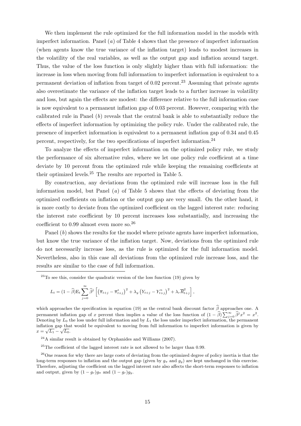We then implement the rule optimized for the full information model in the models with imperfect information. Panel (*a*) of Table 4 shows that the presence of imperfect information (when agents know the true variance of the inflation target) leads to modest increases in the volatility of the real variables, as well as the output gap and inflation around target. Thus, the value of the loss function is only slightly higher than with full information: the increase in loss when moving from full information to imperfect information is equivalent to a permanent deviation of inflation from target of  $0.02$  percent.<sup>23</sup> Assuming that private agents also overestimate the variance of the inflation target leads to a further increase in volatility and loss, but again the effects are modest: the difference relative to the full information case is now equivalent to a permanent inflation gap of 0.03 percent. However, comparing with the calibrated rule in Panel (*b*) reveals that the central bank is able to substantially reduce the effects of imperfect information by optimizing the policy rule. Under the calibrated rule, the presence of imperfect information is equivalent to a permanent inflation gap of 0.34 and 0.45 percent, respectively, for the two specifications of imperfect information.<sup>24</sup>

To analyze the effects of imperfect information on the optimized policy rule, we study the performance of six alternative rules, where we let one policy rule coefficient at a time deviate by 10 percent from the optimized rule while keeping the remaining coefficients at their optimized levels.<sup>25</sup> The results are reported in Table 5.

By construction, any deviations from the optimized rule will increase loss in the full information model, but Panel (*a*) of Table 5 shows that the effects of deviating from the optimized coefficients on inflation or the output gap are very small. On the other hand, it is more costly to deviate from the optimized coefficient on the lagged interest rate: reducing the interest rate coefficient by 10 percent increases loss substantially, and increasing the coefficient to 0.99 almost even more so.<sup>26</sup>

Panel (*b*) shows the results for the model where private agents have imperfect information, but know the true variance of the inflation target. Now, deviations from the optimized rule do not necessarily increase loss, as the rule is optimized for the full information model. Nevertheless, also in this case all deviations from the optimized rule increase loss, and the results are similar to the case of full information.

 $23$ To see this, consider the quadratic version of the loss function (19) given by

$$
L_t = (1 - \widehat{\beta}) \mathbf{E}_t \sum_{j=0}^{\infty} \widehat{\beta}^j \left[ \left( \overline{\pi}_{t+j} - \overline{\pi}_{t+j}^* \right)^2 + \lambda_y \left( Y_{t+j} - Y_{t+j}^n \right)^2 + \lambda_r \overline{R}_{t+j}^2 \right],
$$

which approaches the specification in equation (19) as the central bank discount factor  $\hat{\beta}$  approaches one. A permanent inflation gap of x percent then implies a value of the loss function of  $(1 - \hat{\beta}) \sum_{j=0}^{\infty} \hat{\beta}^j x^2 = x^2$ . Denoting by  $L_0$  the loss under full information and by  $L_1$  the loss under imperfect information, the permanent inflation gap that would be equivalent to moving from full information to imperfect information is given by  $x = \sqrt{L_1} - \sqrt{L_0}.$ 

<sup>24</sup>A similar result is obtained by Orphanides and Williams (2007).

<sup>25</sup>The coefficient of the lagged interest rate is not allowed to be larger than 0.99.

<sup>26</sup>One reason for why there are large costs of deviating from the optimized degree of policy inertia is that the long-term responses to inflation and the output gap (given by  $g_{\pi}$  and  $g_y$ ) are kept unchanged in this exercise. Therefore, adjusting the coefficient on the lagged interest rate also affects the short-term responses to inflation and output, given by  $(1 - g_r)g_\pi$  and  $(1 - g_r)g_y$ .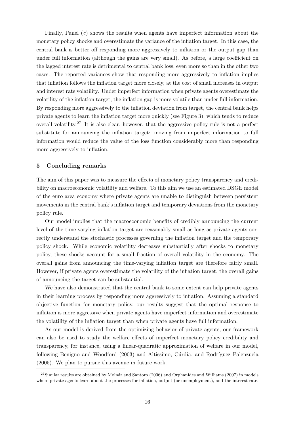Finally, Panel (*c*) shows the results when agents have imperfect information about the monetary policy shocks and overestimate the variance of the inflation target. In this case, the central bank is better off responding more aggressively to inflation or the output gap than under full information (although the gains are very small). As before, a large coefficient on the lagged interest rate is detrimental to central bank loss, even more so than in the other two cases. The reported variances show that responding more aggressively to inflation implies that inflation follows the inflation target more closely, at the cost of small increases in output and interest rate volatility. Under imperfect information when private agents overestimate the volatility of the inflation target, the inflation gap is more volatile than under full information. By responding more aggressively to the inflation deviation from target, the central bank helps private agents to learn the inflation target more quickly (see Figure 3), which tends to reduce overall volatility.<sup>27</sup> It is also clear, however, that the aggressive policy rule is not a perfect substitute for announcing the inflation target: moving from imperfect information to full information would reduce the value of the loss function considerably more than responding more aggressively to inflation.

#### 5 Concluding remarks

The aim of this paper was to measure the effects of monetary policy transparency and credibility on macroeconomic volatility and welfare. To this aim we use an estimated DSGE model of the euro area economy where private agents are unable to distinguish between persistent movements in the central bank's inflation target and temporary deviations from the monetary policy rule.

Our model implies that the macroeconomic benefits of credibly announcing the current level of the time-varying inflation target are reasonably small as long as private agents correctly understand the stochastic processes governing the inflation target and the temporary policy shock. While economic volatility decreases substantially after shocks to monetary policy, these shocks account for a small fraction of overall volatility in the economy. The overall gains from announcing the time-varying inflation target are therefore fairly small. However, if private agents overestimate the volatility of the inflation target, the overall gains of announcing the target can be substantial.

We have also demonstrated that the central bank to some extent can help private agents in their learning process by responding more aggressively to inflation. Assuming a standard objective function for monetary policy, our results suggest that the optimal response to inflation is more aggressive when private agents have imperfect information and overestimate the volatility of the inflation target than when private agents have full information.

As our model is derived from the optimizing behavior of private agents, our framework can also be used to study the welfare effects of imperfect monetary policy credibility and transparency, for instance, using a linear-quadratic approximation of welfare in our model, following Benigno and Woodford (2003) and Altissimo, Cúrdia, and Rodríguez Palenzuela (2005). We plan to pursue this avenue in future work.

 $^{27}$ Similar results are obtained by Molnár and Santoro (2006) and Orphanides and Williams (2007) in models where private agents learn about the processes for inflation, output (or unemployment), and the interest rate.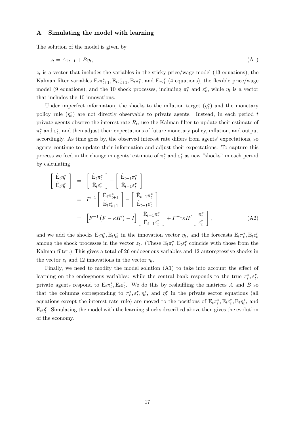#### A Simulating the model with learning

The solution of the model is given by

$$
z_t = Az_{t-1} + B\eta_t,\tag{A1}
$$

 $z_t$  is a vector that includes the variables in the sticky price/wage model (13 equations), the Kalman filter variables  $E_t \pi_{t+1}^*, E_t \varepsilon_{t+1}^*, E_t \pi_t^*$  $t_t^*$ , and  $E_t \varepsilon_t^r$  (4 equations), the flexible price/wage model (9 equations), and the 10 shock processes, including  $\pi_t^*$  and  $\varepsilon_t^r$ , while  $\eta_t$  is a vector that includes the 10 innovations.

Under imperfect information, the shocks to the inflation target  $(\eta_t^*$  $\binom{*}{t}$  and the monetary policy rule  $(\eta_t^r)$  are not directly observable to private agents. Instead, in each period t private agents observe the interest rate  $R_t$ , use the Kalman filter to update their estimate of  $\pi_t^*$  and  $\varepsilon_t^r$ , and then adjust their expectations of future monetary policy, inflation, and output accordingly. As time goes by, the observed interest rate differs from agents' expectations, so agents continue to update their information and adjust their expectations. To capture this process we feed in the change in agents' estimate of  $\pi_t^*$  and  $\varepsilon_t^r$  as new "shocks" in each period by calculating

$$
\begin{aligned}\n\begin{bmatrix}\n\hat{\mathbf{E}}_{t}\eta_{t}^{*} \\
\hat{\mathbf{E}}_{t}\eta_{t}^{T}\n\end{bmatrix} &= \begin{bmatrix}\n\hat{\mathbf{E}}_{t}\pi_{t}^{*} \\
\hat{\mathbf{E}}_{t}\varepsilon_{t}^{T}\n\end{bmatrix} - \begin{bmatrix}\n\hat{\mathbf{E}}_{t-1}\pi_{t}^{*} \\
\hat{\mathbf{E}}_{t-1}\varepsilon_{t}^{T}\n\end{bmatrix} \\
&= F^{-1} \begin{bmatrix}\n\hat{\mathbf{E}}_{t}\pi_{t+1}^{*} \\
\hat{\mathbf{E}}_{t}\varepsilon_{t+1}^{T}\n\end{bmatrix} - \begin{bmatrix}\n\hat{\mathbf{E}}_{t-1}\pi_{t}^{*} \\
\hat{\mathbf{E}}_{t-1}\varepsilon_{t}^{T}\n\end{bmatrix} \\
&= \begin{bmatrix}\nF^{-1} (F - \kappa H') - I\n\end{bmatrix} \begin{bmatrix}\n\hat{\mathbf{E}}_{t-1}\pi_{t}^{*} \\
\hat{\mathbf{E}}_{t-1}\varepsilon_{t}^{T}\n\end{bmatrix} + F^{-1} \kappa H' \begin{bmatrix}\n\pi_{t}^{*} \\
\varepsilon_{t}^{T}\n\end{bmatrix},\n\end{aligned} (A2)
$$

and we add the shocks  $E_t \eta_t^*$  $t_t^*$ ,  $E_t \eta_t^r$  in the innovation vector  $\eta_t$ , and the forecasts  $E_t \pi_t^*$  $t^*, \mathbf{E}_t \varepsilon_t^r$ among the shock processes in the vector  $z_t$ . (These  $E_t \pi_t^*$  $t^*$ ,  $E_t \varepsilon_t^r$  coincide with those from the Kalman filter.) This gives a total of 26 endogenous variables and 12 autoregressive shocks in the vector  $z_t$  and 12 innovations in the vector  $\eta_t$ .

Finally, we need to modify the model solution (A1) to take into account the effect of learning on the endogenous variables: while the central bank responds to the true  $\pi_t^*$  $t^*, \varepsilon_t^r,$ private agents respond to  $E_t \pi_t^*$  $t<sub>t</sub>$ ,  $E_t \varepsilon_t^r$ . We do this by reshuffling the matrices A and B so that the columns corresponding to  $\pi_t^*$  $t^*, \varepsilon_t^r, \eta_t^*,$  and  $\eta_t^r$  in the private sector equations (all equations except the interest rate rule) are moved to the positions of  $E_t \pi_t^*$  $t^*, \mathrm{E}_t \varepsilon_t^r, \mathrm{E}_t \eta_t^*$  $t^*$ , and  $E_t \eta_t^r$ . Simulating the model with the learning shocks described above then gives the evolution of the economy.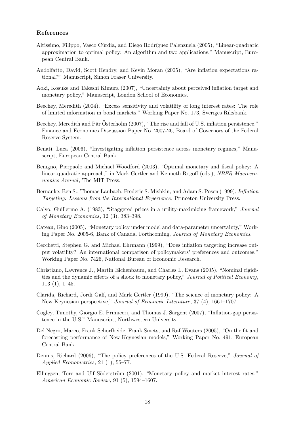#### References

- Altissimo, Filippo, Vasco Cúrdia, and Diego Rodríguez Palenzuela (2005), "Linear-quadratic approximation to optimal policy: An algorithm and two applications," Manuscript, European Central Bank.
- Andolfatto, David, Scott Hendry, and Kevin Moran (2005), "Are inflation expectations rational?" Manuscript, Simon Fraser University.
- Aoki, Kosuke and Takeshi Kimura (2007), "Uncertainty about perceived inflation target and monetary policy," Manuscript, London School of Economics.
- Beechey, Meredith (2004), "Excess sensitivity and volatility of long interest rates: The role of limited information in bond markets," Working Paper No. 173, Sveriges Riksbank.
- Beechey, Meredith and Pär Österholm (2007), "The rise and fall of U.S. inflation persistence." Finance and Economics Discussion Paper No. 2007-26, Board of Governors of the Federal Reserve System.
- Benati, Luca (2006), "Investigating inflation persistence across monetary regimes," Manuscript, European Central Bank.
- Benigno, Pierpaolo and Michael Woodford (2003), "Optimal monetary and fiscal policy: A linear-quadratic approach," in Mark Gertler and Kenneth Rogoff (eds.), *NBER Macroeconomics Annual*, The MIT Press.
- Bernanke, Ben S., Thomas Laubach, Frederic S. Mishkin, and Adam S. Posen (1999), *Inflation Targeting: Lessons from the International Experience*, Princeton University Press.
- Calvo, Guillermo A. (1983), "Staggered prices in a utility-maximizing framework," *Journal of Monetary Economics*, 12 (3), 383–398.
- Cateau, Gino (2005), "Monetary policy under model and data-parameter uncertainty," Working Paper No. 2005-6, Bank of Canada. Forthcoming, *Journal of Monetary Economics*.
- Cecchetti, Stephen G. and Michael Ehrmann (1999), "Does inflation targeting increase output volatility? An international comparison of policymakers' preferences and outcomes," Working Paper No. 7426, National Bureau of Economic Research.
- Christiano, Lawrence J., Martin Eichenbaum, and Charles L. Evans (2005), "Nominal rigidities and the dynamic effects of a shock to monetary policy," *Journal of Political Economy*, 113 (1), 1–45.
- Clarida, Richard, Jordi Gal´ı, and Mark Gertler (1999), "The science of monetary policy: A New Keynesian perspective," *Journal of Economic Literature*, 37 (4), 1661–1707.
- Cogley, Timothy, Giorgio E. Primiceri, and Thomas J. Sargent (2007), "Inflation-gap persistence in the U.S." Manuscript, Northwestern University.
- Del Negro, Marco, Frank Schorfheide, Frank Smets, and Raf Wouters (2005), "On the fit and forecasting performance of New-Keynesian models," Working Paper No. 491, European Central Bank.
- Dennis, Richard (2006), "The policy preferences of the U.S. Federal Reserve," *Journal of Applied Econometrics*, 21 (1), 55–77.
- Ellingsen, Tore and Ulf Söderström (2001), "Monetary policy and market interest rates," *American Economic Review*, 91 (5), 1594–1607.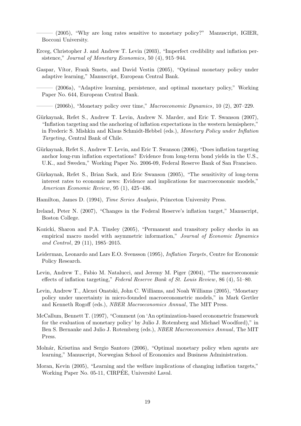$-$  (2005), "Why are long rates sensitive to monetary policy?" Manuscript, IGIER, Bocconi University.

- Erceg, Christopher J. and Andrew T. Levin (2003), "Imperfect credibility and inflation persistence," *Journal of Monetary Economics*, 50 (4), 915–944.
- Gaspar, Vítor, Frank Smets, and David Vestin (2005), "Optimal monetary policy under adaptive learning," Manuscript, European Central Bank.
	- (2006a), "Adaptive learning, persistence, and optimal monetary policy," Working Paper No. 644, European Central Bank.

——— (2006b), "Monetary policy over time," *Macroeconomic Dynamics*, 10 (2), 207–229.

- Gürkaynak, Refet S., Andrew T. Levin, Andrew N. Marder, and Eric T. Swanson (2007), "Inflation targeting and the anchoring of inflation expectations in the western hemisphere," in Frederic S. Mishkin and Klaus Schmidt-Hebbel (eds.), *Monetary Policy under Inflation Targeting*, Central Bank of Chile.
- Gürkaynak, Refet S., Andrew T. Levin, and Eric T. Swanson (2006), "Does inflation targeting anchor long-run inflation expectations? Evidence from long-term bond yields in the U.S., U.K., and Sweden," Working Paper No. 2006-09, Federal Reserve Bank of San Francisco.
- Gürkaynak, Refet S., Brian Sack, and Eric Swanson (2005), "The sensitivity of long-term interest rates to economic news: Evidence and implications for macroeconomic models," *American Economic Review*, 95 (1), 425–436.
- Hamilton, James D. (1994), *Time Series Analysis*, Princeton University Press.
- Ireland, Peter N. (2007), "Changes in the Federal Reserve's inflation target," Manuscript, Boston College.
- Kozicki, Sharon and P.A. Tinsley (2005), "Permanent and transitory policy shocks in an empirical macro model with asymmetric information," *Journal of Economic Dynamics and Control*, 29 (11), 1985–2015.
- Leiderman, Leonardo and Lars E.O. Svensson (1995), *Inflation Targets*, Centre for Economic Policy Research.
- Levin, Andrew T., Fabio M. Natalucci, and Jeremy M. Piger (2004), "The macroeconomic effects of inflation targeting," *Federal Reserve Bank of St. Louis Review*, 86 (4), 51–80.
- Levin, Andrew T., Alexei Onatski, John C. Williams, and Noah Williams (2005), "Monetary policy under uncertainty in micro-founded macroeconometric models," in Mark Gertler and Kenneth Rogoff (eds.), *NBER Macroeconomics Annual*, The MIT Press.
- McCallum, Bennett T. (1997), "Comment (on 'An optimization-based econometric framework for the evaluation of monetary policy' by Julio J. Rotemberg and Michael Woodford)," in Ben S. Bernanke and Julio J. Rotemberg (eds.), *NBER Macroeconomics Annual*, The MIT Press.
- Molnár, Krisztina and Sergio Santoro (2006), "Optimal monetary policy when agents are learning," Manuscript, Norwegian School of Economics and Business Administration.
- Moran, Kevin (2005), "Learning and the welfare implications of changing inflation targets," Working Paper No. 05-11, CIRPÉE, Université Laval.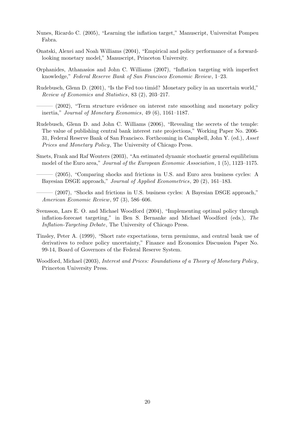- Nunes, Ricardo C. (2005), "Learning the inflation target," Manuscript, Universitat Pompeu Fabra.
- Onatski, Alexei and Noah Williams (2004), "Empirical and policy performance of a forwardlooking monetary model," Manuscript, Princeton University.
- Orphanides, Athanasios and John C. Williams (2007), "Inflation targeting with imperfect knowledge," *Federal Reserve Bank of San Francisco Economic Review*, 1–23.
- Rudebusch, Glenn D. (2001), "Is the Fed too timid? Monetary policy in an uncertain world," *Review of Economics and Statistics*, 83 (2), 203–217.
	- (2002), "Term structure evidence on interest rate smoothing and monetary policy inertia," *Journal of Monetary Economics*, 49 (6), 1161–1187.
- Rudebusch, Glenn D. and John C. Williams (2006), "Revealing the secrets of the temple: The value of publishing central bank interest rate projections," Working Paper No. 2006- 31, Federal Reserve Bank of San Francisco. Forthcoming in Campbell, John Y. (ed.), *Asset Prices and Monetary Policy*, The University of Chicago Press.
- Smets, Frank and Raf Wouters (2003), "An estimated dynamic stochastic general equilibrium model of the Euro area," *Journal of the European Economic Association*, 1 (5), 1123–1175.
- (2005), "Comparing shocks and frictions in U.S. and Euro area business cycles: A Bayesian DSGE approach," *Journal of Applied Econometrics*, 20 (2), 161–183.
- $-$  (2007), "Shocks and frictions in U.S. business cycles: A Bayesian DSGE approach," *American Economic Review*, 97 (3), 586–606.
- Svensson, Lars E. O. and Michael Woodford (2004), "Implementing optimal policy through inflation-forecast targeting," in Ben S. Bernanke and Michael Woodford (eds.), *The Inflation-Targeting Debate*, The University of Chicago Press.
- Tinsley, Peter A. (1999), "Short rate expectations, term premiums, and central bank use of derivatives to reduce policy uncertainty," Finance and Economics Discussion Paper No. 99-14, Board of Governors of the Federal Reserve System.
- Woodford, Michael (2003), *Interest and Prices: Foundations of a Theory of Monetary Policy*, Princeton University Press.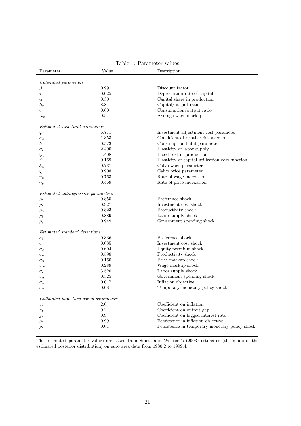| Parameter                                  | Value | Description                                     |
|--------------------------------------------|-------|-------------------------------------------------|
| Calibrated parameters                      |       |                                                 |
| β                                          | 0.99  | Discount factor                                 |
| $\tau$                                     | 0.025 | Depreciation rate of capital                    |
| $\alpha$                                   | 0.30  | Capital share in production                     |
| $k_y$                                      | 8.8   | Capital/output ratio                            |
|                                            | 0.60  | Consumption/output ratio                        |
| $c_y$                                      | 0.5   |                                                 |
| $\lambda_w$                                |       | Average wage markup                             |
| <i>Estimated structural parameters</i>     |       |                                                 |
| $\varphi_i$                                | 6.771 | Investment adjustment cost parameter            |
| $\sigma_c$                                 | 1.353 | Coefficient of relative risk aversion           |
| $\hbar$                                    | 0.573 | Consumption habit parameter                     |
| $\sigma_l$                                 | 2.400 | Elasticity of labor supply                      |
| $\varphi_y$                                | 1.408 | Fixed cost in production                        |
| $\psi$                                     | 0.169 | Elasticity of capital utilization cost function |
| $\xi_w$                                    | 0.737 | Calvo wage parameter                            |
| $\xi_p$                                    | 0.908 | Calvo price parameter                           |
| $\gamma_w$                                 | 0.763 | Rate of wage indexation                         |
| $\gamma_p$                                 | 0.469 | Rate of price indexation                        |
| <i>Estimated autoregressive parameters</i> |       |                                                 |
| $\rho_b$                                   | 0.855 | Preference shock                                |
| $\rho_i$                                   | 0.927 | Investment cost shock                           |
| $\rho_a$                                   | 0.823 | Productivity shock                              |
| $\rho_l$                                   | 0.889 | Labor supply shock                              |
| $\rho_g$                                   | 0.949 | Government spending shock                       |
| <i>Estimated standard deviations</i>       |       |                                                 |
| $\sigma_b$                                 | 0.336 | Preference shock                                |
| $\sigma_i$                                 | 0.085 | Investment cost shock                           |
| $\sigma_q$                                 | 0.604 | Equity premium shock                            |
| $\sigma_a$                                 | 0.598 | Productivity shock                              |
| $\sigma_p$                                 | 0.160 | Price markup shock                              |
| $\sigma_w$                                 | 0.289 | Wage markup shock                               |
| $\sigma_l$                                 | 3.520 | Labor supply shock                              |
| $\sigma_g$                                 | 0.325 | Government spending shock                       |
| $\sigma_*$                                 | 0.017 | Inflation objective                             |
|                                            | 0.081 | Temporary monetary policy shock                 |
| $\sigma_r$                                 |       |                                                 |
| Calibrated monetary policy parameters      |       |                                                 |
| $g_{\pi}$                                  | 2.0   | Coefficient on inflation                        |
| $g_y$                                      | 0.2   | Coefficient on output gap                       |
| $g_r$                                      | 0.9   | Coefficient on lagged interest rate             |
| $\rho_*$                                   | 0.99  | Persistence in inflation objective              |
| $\rho_r$                                   | 0.01  | Persistence in temporary monetary policy shock  |

# Table 1: Parameter values

The estimated parameter values are taken from Smets and Wouters's (2003) estimates (the mode of the estimated posterior distribution) on euro area data from 1980:2 to 1999:4.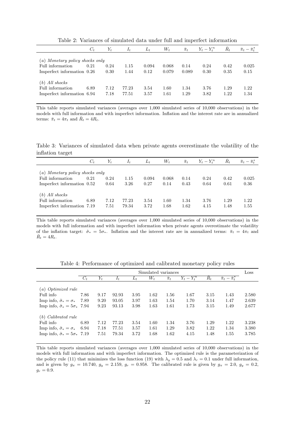|                                                                                   | $C_t$ | $Y_t$        | $I_t$          | $L_t$         | $W_t$          | $\bar{\pi}_t$ | $Y_t - Y_t^n$ | $R_t$        | $\bar{\pi}_t - \bar{\pi}_t^*$ |
|-----------------------------------------------------------------------------------|-------|--------------|----------------|---------------|----------------|---------------|---------------|--------------|-------------------------------|
| (a) Monetary policy shocks only<br>Full information<br>Imperfect information 0.26 | 0.21  | 0.24<br>0.30 | 1.15<br>1.44   | 0.094<br>0.12 | 0.068<br>0.079 | 0.14<br>0.089 | 0.24<br>0.30  | 0.42<br>0.35 | 0.025<br>0.15                 |
| All shocks<br>(b)<br>Full information<br>Imperfect information 6.94               | 6.89  | 7.12<br>7.18 | 77.23<br>77.51 | 3.54<br>3.57  | 1.60<br>1.61   | 1.34<br>1.29  | 3.76<br>3.82  | 1.29<br>1.22 | 1.22<br>1.34                  |

Table 2: Variances of simulated data under full and imperfect information

This table reports simulated variances (averages over 1,000 simulated series of 10,000 observations) in the models with full information and with imperfect information. Inflation and the interest rate are in annualized terms:  $\bar{\pi}_t = 4\pi_t$  and  $\bar{R}_t = 4R_t$ .

Table 3: Variances of simulated data when private agents overestimate the volatility of the inflation target

|                                                                                   | $C_t$ | $Y_t$        | $I_t$          | $L_t$         | $W_t$         | $\bar{\pi}_t$ | $Y_t - Y_t^n$ | $R_t$        | $\bar{\pi}_t - \bar{\pi}_t^*$ |
|-----------------------------------------------------------------------------------|-------|--------------|----------------|---------------|---------------|---------------|---------------|--------------|-------------------------------|
| (a) Monetary policy shocks only<br>Full information<br>Imperfect information 0.52 | 0.21  | 0.24<br>0.64 | 1.15<br>3.26   | 0.094<br>0.27 | 0.068<br>0.14 | 0.14<br>0.43  | 0.24<br>0.64  | 0.42<br>0.61 | 0.025<br>0.36                 |
| $(b)$ All shocks<br>Full information<br>Imperfect information 7.19                | 6.89  | 7.12<br>7.51 | 77.23<br>79.34 | 3.54<br>3.72  | 1.60<br>1.68  | 1.34<br>1.62  | 3.76<br>4.15  | 1.29<br>1.48 | 1.22<br>1.55                  |

This table reports simulated variances (averages over 1,000 simulated series of 10,000 observations) in the models with full information and with imperfect information when private agents overestimate the volatility of the inflation target:  $\hat{\sigma}_* = 5\sigma_*$ . Inflation and the interest rate are in annualized terms:  $\bar{\pi}_t = 4\pi_t$  and  $\bar{R}_t = 4R_t.$ 

|                                             | Simulated variances |       |       |       |       |               |             | Loss  |                               |       |
|---------------------------------------------|---------------------|-------|-------|-------|-------|---------------|-------------|-------|-------------------------------|-------|
|                                             | $C_t$               | $Y_t$ | $I_t$ | $L_t$ | $W_t$ | $\bar{\pi}_t$ | $Y_t-Y_t^n$ | $R_t$ | $\bar{\pi}_t - \bar{\pi}_t^*$ |       |
|                                             |                     |       |       |       |       |               |             |       |                               |       |
| (a) Optimized rule                          |                     |       |       |       |       |               |             |       |                               |       |
| Full info                                   | 7.86                | 9.17  | 92.93 | 3.95  | 1.62  | 1.56          | 1.67        | 3.15  | 1.43                          | 2.580 |
| Imp info, $\hat{\sigma}_* = \sigma_*$       | 7.89                | 9.20  | 93.05 | 3.97  | 1.63  | 1.54          | 1.70        | 3.14  | 1.47                          | 2.639 |
| Imp info, $\hat{\sigma}_* = 5\sigma_*$ 7.94 |                     | 9.23  | 93.13 | 3.98  | 1.63  | 1.61          | 1.73        | 3.15  | 1.49                          | 2.677 |
|                                             |                     |       |       |       |       |               |             |       |                               |       |
| $(b)$ Calibrated rule                       |                     |       |       |       |       |               |             |       |                               |       |
| Full info                                   | 6.89                | 7.12  | 77.23 | 3.54  | 1.60  | 1.34          | 3.76        | 1.29  | 1.22                          | 3.238 |
| Imp info, $\hat{\sigma}_* = \sigma_*$       | 6.94                | 7.18  | 77.51 | 3.57  | 1.61  | 1.29          | 3.82        | 1.22  | 1.34                          | 3.380 |
| Imp info, $\hat{\sigma}_* = 5\sigma_*$ 7.19 |                     | 7.51  | 79.34 | 3.72  | 1.68  | 1.62          | 4.15        | 1.48  | 1.55                          | 3.785 |
|                                             |                     |       |       |       |       |               |             |       |                               |       |

Table 4: Performance of optimized and calibrated monetary policy rules

This table reports simulated variances (averages over 1,000 simulated series of 10,000 observations) in the models with full information and with imperfect information. The optimized rule is the parameterization of the policy rule (11) that minimizes the loss function (19) with  $\lambda_y = 0.5$  and  $\lambda_r = 0.1$  under full information, and is given by  $g_{\pi} = 10.740$ ,  $g_y = 2.159$ ,  $g_r = 0.958$ . The calibrated rule is given by  $g_{\pi} = 2.0$ ,  $g_y = 0.2$ ,  $g_r = 0.9$ .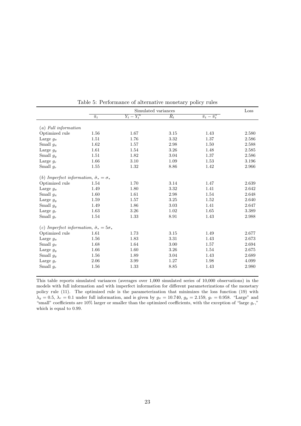|                                                         | Simulated variances |                          |       |                                         |       |  |  |
|---------------------------------------------------------|---------------------|--------------------------|-------|-----------------------------------------|-------|--|--|
|                                                         | $\overline{\pi_t}$  | $\overline{Y_t - Y_t^n}$ | $R_t$ | $\overline{\pi}_t - \overline{\pi}_t^*$ |       |  |  |
|                                                         |                     |                          |       |                                         |       |  |  |
| $(a)$ Full information                                  |                     |                          |       |                                         |       |  |  |
| Optimized rule                                          | 1.56                | 1.67                     | 3.15  | 1.43                                    | 2.580 |  |  |
| Large $q_{\pi}$                                         | 1.51                | 1.76                     | 3.32  | 1.37                                    | 2.586 |  |  |
| Small $g_{\pi}$                                         | 1.62                | 1.57                     | 2.98  | 1.50                                    | 2.588 |  |  |
| Large $g_y$                                             | 1.61                | 1.54                     | 3.26  | 1.48                                    | 2.585 |  |  |
| Small $g_y$                                             | 1.51                | 1.82                     | 3.04  | 1.37                                    | 2.586 |  |  |
| Large $g_r$                                             | 1.66                | 3.10                     | 1.09  | 1.53                                    | 3.196 |  |  |
| Small $g_r$                                             | 1.55                | 1.32                     | 8.86  | 1.42                                    | 2.966 |  |  |
| (b) Imperfect information, $\hat{\sigma}_* = \sigma_*$  |                     |                          |       |                                         |       |  |  |
| Optimized rule                                          | 1.54                | 1.70                     | 3.14  | 1.47                                    | 2.639 |  |  |
| Large $q_{\pi}$                                         | 1.49                | 1.80                     | 3.32  | 1.41                                    | 2.642 |  |  |
| Small $g_{\pi}$                                         | 1.60                | 1.61                     | 2.98  | 1.54                                    | 2.648 |  |  |
| Large $g_y$                                             | 1.59                | 1.57                     | 3.25  | 1.52                                    | 2.640 |  |  |
| Small $g_y$                                             | 1.49                | 1.86                     | 3.03  | 1.41                                    | 2.647 |  |  |
| Large $g_r$                                             | 1.63                | 3.26                     | 1.02  | 1.65                                    | 3.389 |  |  |
| Small $g_r$                                             | 1.54                | 1.33                     | 8.91  | 1.43                                    | 2.988 |  |  |
| (c) Imperfect information, $\hat{\sigma}_* = 5\sigma_*$ |                     |                          |       |                                         |       |  |  |
| Optimized rule                                          | 1.61                | 1.73                     | 3.15  | 1.49                                    | 2.677 |  |  |
| Large $q_{\pi}$                                         | 1.56                | 1.83                     | 3.31  | 1.43                                    | 2.673 |  |  |
| Small $q_{\pi}$                                         | 1.68                | 1.64                     | 3.00  | 1.57                                    | 2.694 |  |  |
|                                                         |                     | 1.60                     |       | 1.54                                    | 2.675 |  |  |
| Large $g_y$                                             | 1.66                |                          | 3.26  |                                         |       |  |  |
| Small $g_y$                                             | 1.56                | 1.89                     | 3.04  | 1.43                                    | 2.689 |  |  |
| Large $g_r$                                             | 2.06                | 3.99                     | 1.27  | 1.98                                    | 4.099 |  |  |
| Small $g_r$                                             | 1.56                | 1.33                     | 8.85  | 1.43                                    | 2.980 |  |  |

Table 5: Performance of alternative monetary policy rules

This table reports simulated variances (averages over 1,000 simulated series of 10,000 observations) in the models with full information and with imperfect information for different parameterizations of the monetary policy rule (11). The optimized rule is the parameterization that minimizes the loss function (19) with  $\lambda_y = 0.5$ ,  $\lambda_r = 0.1$  under full information, and is given by  $g_\pi = 10.740$ ,  $g_y = 2.159$ ,  $g_r = 0.958$ . "Large" and "small" coefficients are  $10\%$  larger or smaller than the optimized coefficients, with the exception of "large  $g_r$ ," which is equal to 0.99.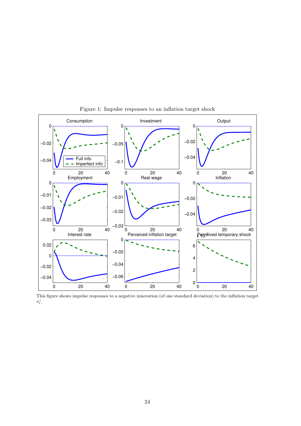

Figure 1: Impulse responses to an inflation target shock

This figure shows impulse responses to a negative innovation (of one standard deviation) to the inflation target  $\pi^*_t$  .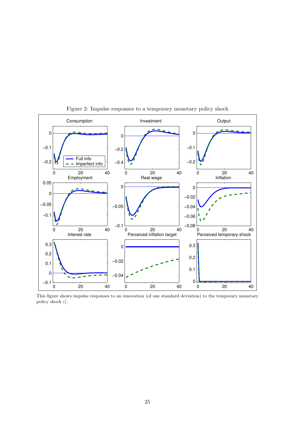

Figure 2: Impulse responses to a temporary monetary policy shock

This figure shows impulse responses to an innovation (of one standard deviation) to the temporary monetary policy shock  $\varepsilon_t^r$ .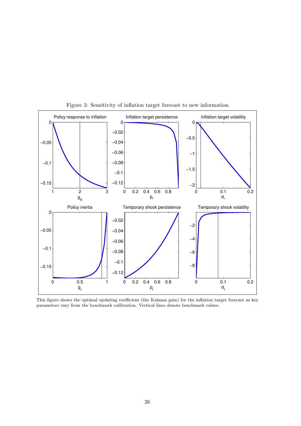

Figure 3: Sensitivity of inflation target forecast to new information

This figure shows the optimal updating coefficient (the Kalman gain) for the inflation target forecast as key parameters vary from the benchmark calibration. Vertical lines denote benchmark values.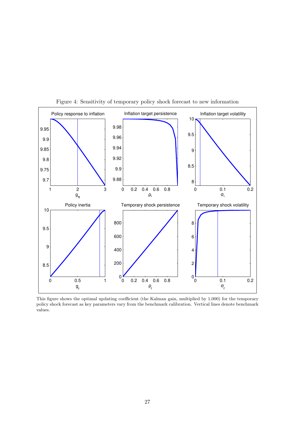

Figure 4: Sensitivity of temporary policy shock forecast to new information

This figure shows the optimal updating coefficient (the Kalman gain, multiplied by 1,000) for the temporary policy shock forecast as key parameters vary from the benchmark calibration. Vertical lines denote benchmark values.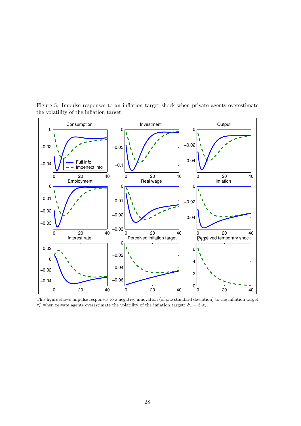

Figure 5: Impulse responses to an inflation target shock when private agents overestimate the volatility of the inflation target

This figure shows impulse responses to a negative innovation (of one standard deviation) to the inflation target  $\pi_t^*$  when private agents overestimate the volatility of the inflation target:  $\hat{\sigma}_* = 5 \sigma_*$ .